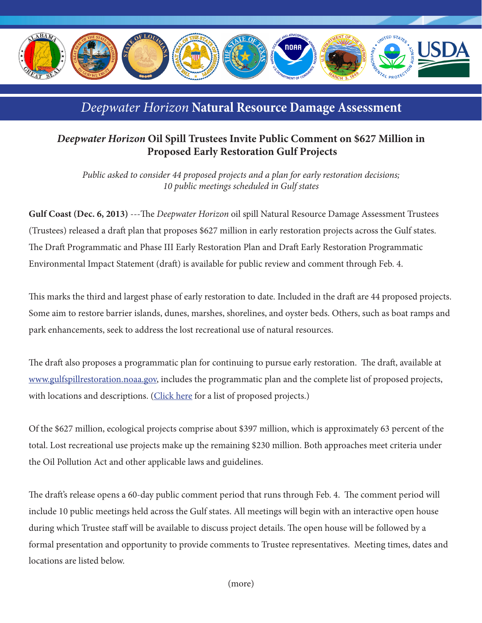

## *Deepwater Horizon* **Natural Resource Damage Assessment**

## *Deepwater Horizon* **Oil Spill Trustees Invite Public Comment on \$627 Million in Proposed Early Restoration Gulf Projects**

*Public asked to consider 44 proposed projects and a plan for early restoration decisions; 10 public meetings scheduled in Gulf states* 

**Gulf Coast (Dec. 6, 2013)** ---The *Deepwater Horizon* oil spill Natural Resource Damage Assessment Trustees (Trustees) released a draft plan that proposes \$627 million in early restoration projects across the Gulf states. The Draft Programmatic and Phase III Early Restoration Plan and Draft Early Restoration Programmatic Environmental Impact Statement (draft) is available for public review and comment through Feb. 4.

This marks the third and largest phase of early restoration to date. Included in the draft are 44 proposed projects. Some aim to restore barrier islands, dunes, marshes, shorelines, and oyster beds. Others, such as boat ramps and park enhancements, seek to address the lost recreational use of natural resources.

The draft also proposes a programmatic plan for continuing to pursue early restoration. The draft, available at www.gulfspillrestoration.noaa.gov, includes the programmatic plan and the complete list of proposed projects, with locations and descriptions. ([Click here](http://www.gulfspillrestoration.noaa.gov/restoration/early-restoration/phase-iii/) for a list of proposed projects.)

Of the \$627 million, ecological projects comprise about \$397 million, which is approximately 63 percent of the total. Lost recreational use projects make up the remaining \$230 million. Both approaches meet criteria under the Oil Pollution Act and other applicable laws and guidelines.

The draft's release opens a 60-day public comment period that runs through Feb. 4. The comment period will include 10 public meetings held across the Gulf states. All meetings will begin with an interactive open house during which Trustee staff will be available to discuss project details. The open house will be followed by a formal presentation and opportunity to provide comments to Trustee representatives. Meeting times, dates and locations are listed below.